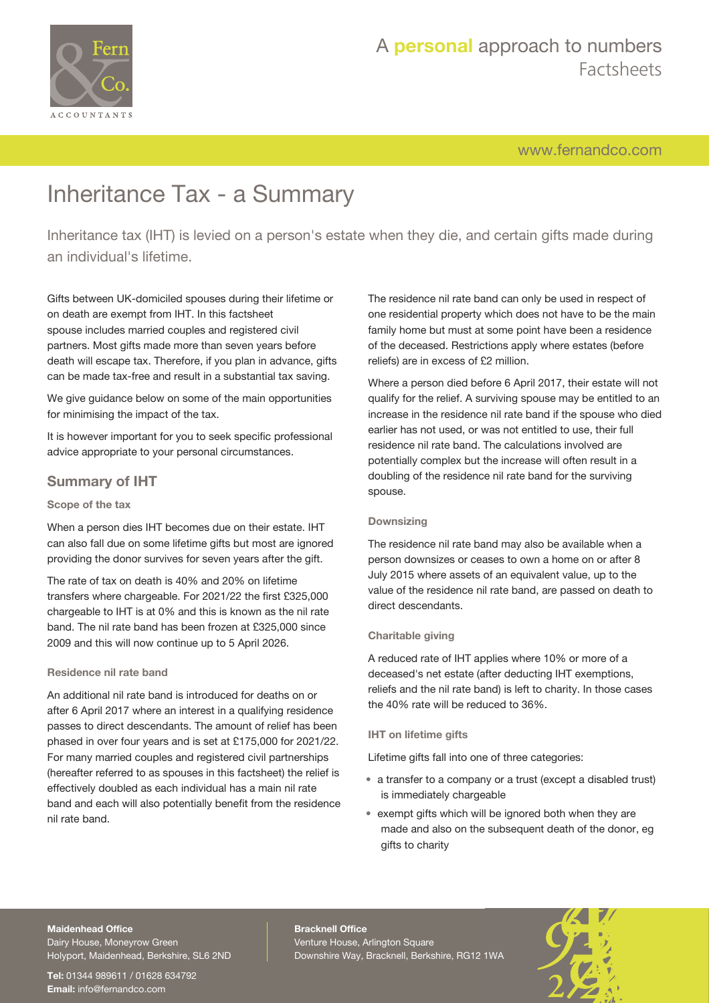

[www.fernandco.com](http://www.fernandco.com)

# Inheritance Tax - a Summary

Inheritance tax (IHT) is levied on a person's estate when they die, and certain gifts made during an individual's lifetime.

Gifts between UK-domiciled spouses during their lifetime or on death are exempt from IHT. In this factsheet spouse includes married couples and registered civil partners. Most gifts made more than seven years before death will escape tax. Therefore, if you plan in advance, gifts can be made tax-free and result in a substantial tax saving.

We give guidance below on some of the main opportunities for minimising the impact of the tax.

It is however important for you to seek specific professional advice appropriate to your personal circumstances.

### **Summary of IHT**

### **Scope of the tax**

When a person dies IHT becomes due on their estate. IHT can also fall due on some lifetime gifts but most are ignored providing the donor survives for seven years after the gift.

The rate of tax on death is 40% and 20% on lifetime transfers where chargeable. For 2021/22 the first £325,000 chargeable to IHT is at 0% and this is known as the nil rate band. The nil rate band has been frozen at £325,000 since 2009 and this will now continue up to 5 April 2026.

### **Residence nil rate band**

An additional nil rate band is introduced for deaths on or after 6 April 2017 where an interest in a qualifying residence passes to direct descendants. The amount of relief has been phased in over four years and is set at £175,000 for 2021/22. For many married couples and registered civil partnerships (hereafter referred to as spouses in this factsheet) the relief is effectively doubled as each individual has a main nil rate band and each will also potentially benefit from the residence nil rate band.

The residence nil rate band can only be used in respect of one residential property which does not have to be the main family home but must at some point have been a residence of the deceased. Restrictions apply where estates (before reliefs) are in excess of £2 million.

Where a person died before 6 April 2017, their estate will not qualify for the relief. A surviving spouse may be entitled to an increase in the residence nil rate band if the spouse who died earlier has not used, or was not entitled to use, their full residence nil rate band. The calculations involved are potentially complex but the increase will often result in a doubling of the residence nil rate band for the surviving spouse.

### **Downsizing**

The residence nil rate band may also be available when a person downsizes or ceases to own a home on or after 8 July 2015 where assets of an equivalent value, up to the value of the residence nil rate band, are passed on death to direct descendants.

### **Charitable giving**

A reduced rate of IHT applies where 10% or more of a deceased's net estate (after deducting IHT exemptions, reliefs and the nil rate band) is left to charity. In those cases the 40% rate will be reduced to 36%.

### **IHT on lifetime gifts**

Lifetime gifts fall into one of three categories:

- a transfer to a company or a trust (except a disabled trust) is immediately chargeable
- exempt gifts which will be ignored both when they are made and also on the subsequent death of the donor, eg gifts to charity

#### **Maidenhead Office**

Dairy House, Moneyrow Green Holyport, Maidenhead, Berkshire, SL6 2ND

**Tel:** 01344 989611 / 01628 634792 **Email:** [info@fernandco.com](mailto:info@fernandco.com)

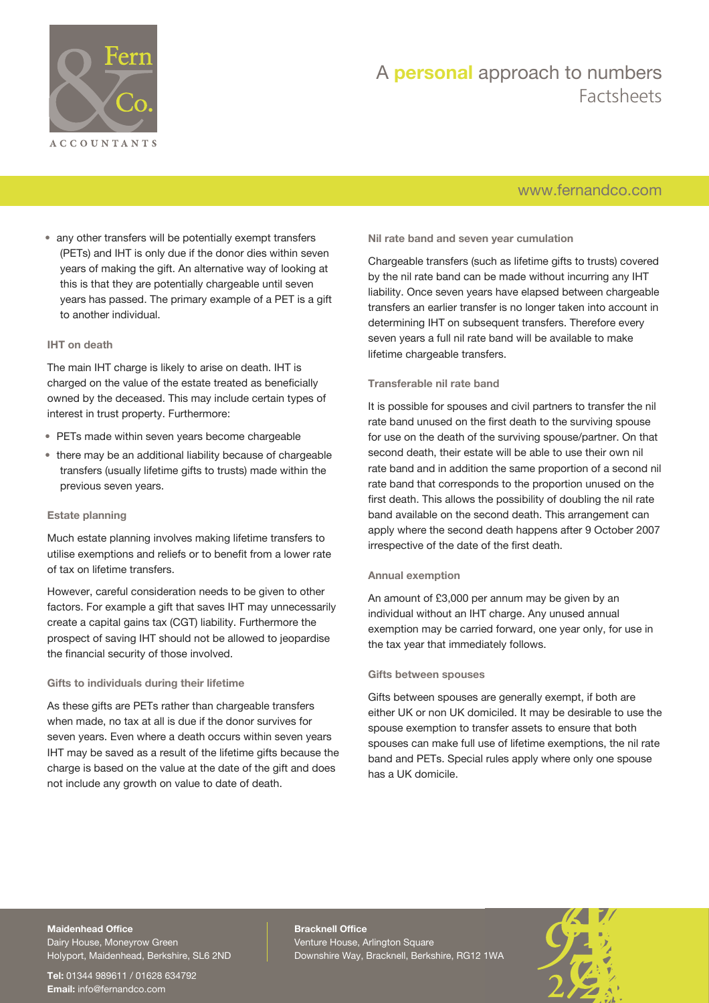

# A **personal** approach to numbers Factsheets

### [www.fernandco.com](http://www.fernandco.com)

• any other transfers will be potentially exempt transfers (PETs) and IHT is only due if the donor dies within seven years of making the gift. An alternative way of looking at this is that they are potentially chargeable until seven years has passed. The primary example of a PET is a gift to another individual.

### **IHT on death**

The main IHT charge is likely to arise on death. IHT is charged on the value of the estate treated as beneficially owned by the deceased. This may include certain types of interest in trust property. Furthermore:

- PETs made within seven years become chargeable
- there may be an additional liability because of chargeable transfers (usually lifetime gifts to trusts) made within the previous seven years.

### **Estate planning**

Much estate planning involves making lifetime transfers to utilise exemptions and reliefs or to benefit from a lower rate of tax on lifetime transfers.

However, careful consideration needs to be given to other factors. For example a gift that saves IHT may unnecessarily create a capital gains tax (CGT) liability. Furthermore the prospect of saving IHT should not be allowed to jeopardise the financial security of those involved.

### **Gifts to individuals during their lifetime**

As these gifts are PETs rather than chargeable transfers when made, no tax at all is due if the donor survives for seven years. Even where a death occurs within seven years IHT may be saved as a result of the lifetime gifts because the charge is based on the value at the date of the gift and does not include any growth on value to date of death.

**Nil rate band and seven year cumulation**

Chargeable transfers (such as lifetime gifts to trusts) covered by the nil rate band can be made without incurring any IHT liability. Once seven years have elapsed between chargeable transfers an earlier transfer is no longer taken into account in determining IHT on subsequent transfers. Therefore every seven years a full nil rate band will be available to make lifetime chargeable transfers.

### **Transferable nil rate band**

It is possible for spouses and civil partners to transfer the nil rate band unused on the first death to the surviving spouse for use on the death of the surviving spouse/partner. On that second death, their estate will be able to use their own nil rate band and in addition the same proportion of a second nil rate band that corresponds to the proportion unused on the first death. This allows the possibility of doubling the nil rate band available on the second death. This arrangement can apply where the second death happens after 9 October 2007 irrespective of the date of the first death.

#### **Annual exemption**

An amount of £3,000 per annum may be given by an individual without an IHT charge. Any unused annual exemption may be carried forward, one year only, for use in the tax year that immediately follows.

#### **Gifts between spouses**

Gifts between spouses are generally exempt, if both are either UK or non UK domiciled. It may be desirable to use the spouse exemption to transfer assets to ensure that both spouses can make full use of lifetime exemptions, the nil rate band and PETs. Special rules apply where only one spouse has a UK domicile.

### **Maidenhead Office**

Dairy House, Moneyrow Green Holyport, Maidenhead, Berkshire, SL6 2ND

**Tel:** 01344 989611 / 01628 634792 **Email:** [info@fernandco.com](mailto:info@fernandco.com)

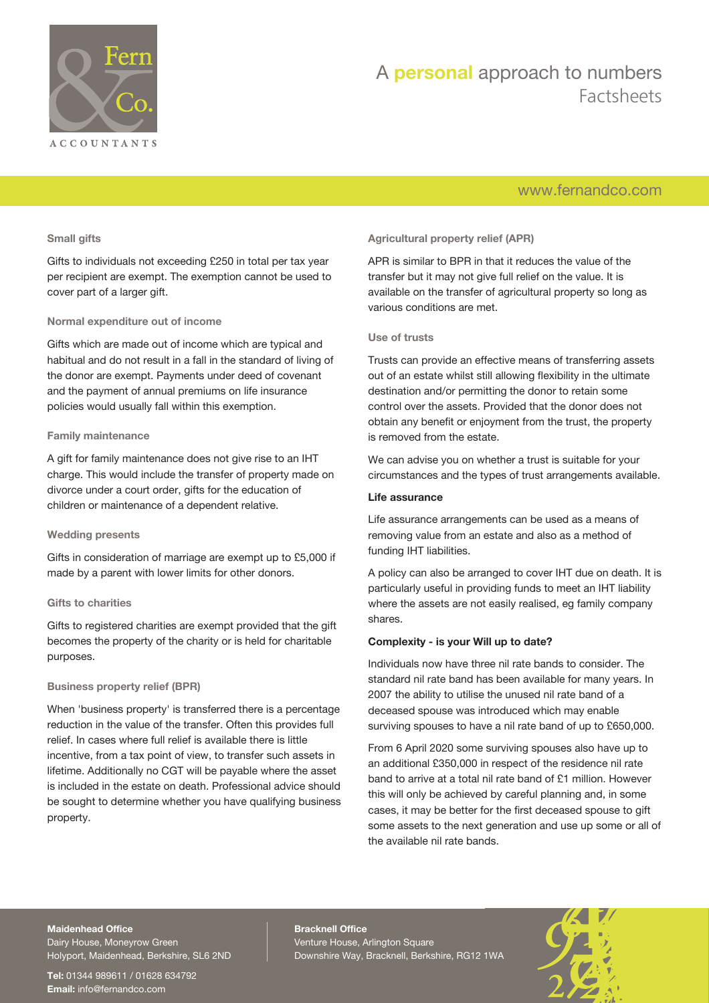

# A **personal** approach to numbers Factsheets

### [www.fernandco.com](http://www.fernandco.com)

### **Small gifts**

Gifts to individuals not exceeding £250 in total per tax year per recipient are exempt. The exemption cannot be used to cover part of a larger gift.

### **Normal expenditure out of income**

Gifts which are made out of income which are typical and habitual and do not result in a fall in the standard of living of the donor are exempt. Payments under deed of covenant and the payment of annual premiums on life insurance policies would usually fall within this exemption.

#### **Family maintenance**

A gift for family maintenance does not give rise to an IHT charge. This would include the transfer of property made on divorce under a court order, gifts for the education of children or maintenance of a dependent relative.

#### **Wedding presents**

Gifts in consideration of marriage are exempt up to £5,000 if made by a parent with lower limits for other donors.

#### **Gifts to charities**

Gifts to registered charities are exempt provided that the gift becomes the property of the charity or is held for charitable purposes.

### **Business property relief (BPR)**

When 'business property' is transferred there is a percentage reduction in the value of the transfer. Often this provides full relief. In cases where full relief is available there is little incentive, from a tax point of view, to transfer such assets in lifetime. Additionally no CGT will be payable where the asset is included in the estate on death. Professional advice should be sought to determine whether you have qualifying business property.

### **Agricultural property relief (APR)**

APR is similar to BPR in that it reduces the value of the transfer but it may not give full relief on the value. It is available on the transfer of agricultural property so long as various conditions are met.

### **Use of trusts**

Trusts can provide an effective means of transferring assets out of an estate whilst still allowing flexibility in the ultimate destination and/or permitting the donor to retain some control over the assets. Provided that the donor does not obtain any benefit or enjoyment from the trust, the property is removed from the estate.

We can advise you on whether a trust is suitable for your circumstances and the types of trust arrangements available.

### **Life assurance**

Life assurance arrangements can be used as a means of removing value from an estate and also as a method of funding IHT liabilities.

A policy can also be arranged to cover IHT due on death. It is particularly useful in providing funds to meet an IHT liability where the assets are not easily realised, eg family company shares.

### **Complexity - is your Will up to date?**

Individuals now have three nil rate bands to consider. The standard nil rate band has been available for many years. In 2007 the ability to utilise the unused nil rate band of a deceased spouse was introduced which may enable surviving spouses to have a nil rate band of up to £650,000.

From 6 April 2020 some surviving spouses also have up to an additional £350,000 in respect of the residence nil rate band to arrive at a total nil rate band of £1 million. However this will only be achieved by careful planning and, in some cases, it may be better for the first deceased spouse to gift some assets to the next generation and use up some or all of the available nil rate bands.

### **Maidenhead Office**

Dairy House, Moneyrow Green Holyport, Maidenhead, Berkshire, SL6 2ND

**Tel:** 01344 989611 / 01628 634792 **Email:** [info@fernandco.com](mailto:info@fernandco.com)